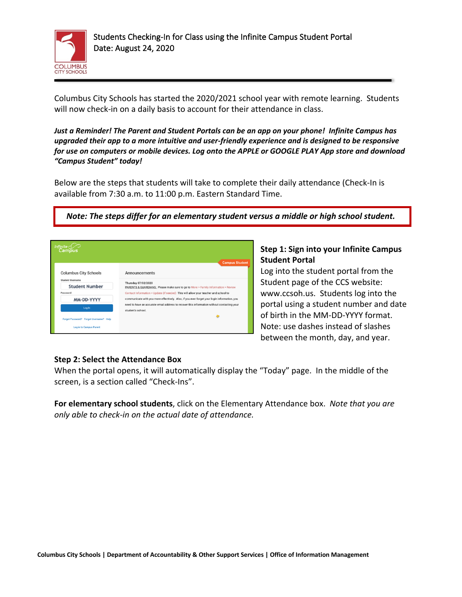

Columbus City Schools has started the 2020/2021 school year with remote learning. Students will now check-in on a daily basis to account for their attendance in class.

*Just a Reminder! The Parent and Student Portals can be an app on your phone! Infinite Campus has upgraded their app to a more intuitive and user-friendly experience and is designed to be responsive for use on computers or mobile devices. Log onto the APPLE or GOOGLE PLAY App store and download "Campus Student" today!*

Below are the steps that students will take to complete their daily attendance (Check-In is available from 7:30 a.m. to 11:00 p.m. Eastern Standard Time.

*Note: The steps differ for an elementary student versus a middle or high school student.*

| Infinite $c$ $\mathcal{L}$<br>Campus             |                                                                                                                 |
|--------------------------------------------------|-----------------------------------------------------------------------------------------------------------------|
| <b>Columbus City Schools</b>                     | <b>Campus Student</b><br>Announcements                                                                          |
| <b>Student Username</b><br><b>Student Number</b> | Thursday 07/02/2020<br>PARENTS & GUARDIANS: Please make sure to go to More > Family Information > Review        |
| Password                                         | Contact Information > Update (if needed) This will allow your teacher and school to                             |
| MM-DD-YYYY                                       | communicate with you more effectively. Also, if you ever forget your login information, you                     |
| Log In                                           | need to have an accurate email address to recover this information without contacting your<br>student's school. |
| Forgot Password? Forgot Username? Help           |                                                                                                                 |
| <b>Log in to Campus Parent</b>                   |                                                                                                                 |

## **Step 1: Sign into your Infinite Campus Student Portal**

Log into the student portal from the Student page of the CCS website: www.ccsoh.us. Students log into the portal using a student number and date of birth in the MM-DD-YYYY format. Note: use dashes instead of slashes between the month, day, and year.

## **Step 2: Select the Attendance Box**

When the portal opens, it will automatically display the "Today" page. In the middle of the screen, is a section called "Check-Ins".

**For elementary school students**, click on the Elementary Attendance box. *Note that you are only able to check-in on the actual date of attendance.*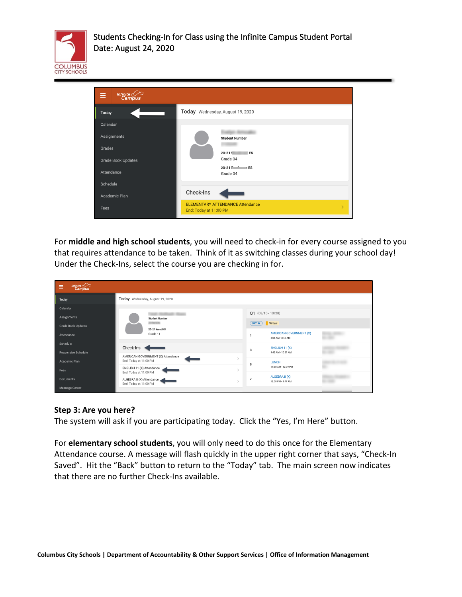



For **middle and high school students**, you will need to check-in for every course assigned to you that requires attendance to be taken. Think of it as switching classes during your school day! Under the Check-Ins, select the course you are checking in for.

| Infinite Co<br>Ξ          |                                                     |                      |                                                     |  |
|---------------------------|-----------------------------------------------------|----------------------|-----------------------------------------------------|--|
| <b>Today</b>              | Today Wednesday, August 19, 2020                    |                      |                                                     |  |
| Calendar<br>Assignments   | <b>Student Number</b>                               | $Q1 (08/10 - 10/28)$ |                                                     |  |
| <b>Grade Book Updates</b> | <b>JOSE NOR</b>                                     | DAY: W Virtual       |                                                     |  |
| Attendance                | 20-21 West HS<br>Grade 11                           |                      | <b>AMERICAN GOVERNMENT (X)</b><br>8:04 AM - 8:53 AM |  |
| Schedule                  | Check-Ins                                           | 3                    | ENGLISH 11 (X)                                      |  |
| Responsive Schedule       | AMERICAN GOVERNMENT (X) Attendance                  |                      | 9:42 AM - 10:31 AM                                  |  |
| Academic Plan             | End: Today at 11:00 PM                              | 5                    | <b>LUNCH</b>                                        |  |
| Fees                      | ENGLISH 11 (X) Attendance<br>End: Today at 11:00 PM |                      | 11:20 AM - 12:09 PM                                 |  |
| <b>Documents</b>          | ALGEBRA II (X) Attendance<br>End: Today at 11:00 PM |                      | ALGEBRA II (X)<br>12:58 PM - 1:47 PM                |  |
| <b>Message Center</b>     |                                                     |                      |                                                     |  |

## **Step 3: Are you here?**

The system will ask if you are participating today. Click the "Yes, I'm Here" button.

For **elementary school students**, you will only need to do this once for the Elementary Attendance course. A message will flash quickly in the upper right corner that says, "Check-In Saved". Hit the "Back" button to return to the "Today" tab. The main screen now indicates that there are no further Check-Ins available.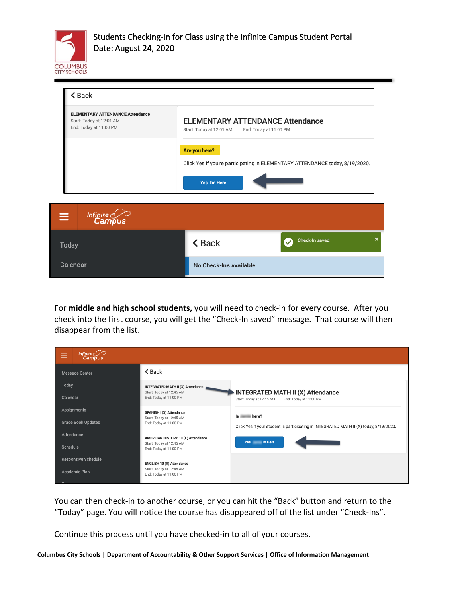

| $\triangle$ Back                                                                              |                                                                                               |  |
|-----------------------------------------------------------------------------------------------|-----------------------------------------------------------------------------------------------|--|
| <b>ELEMENTARY ATTENDANCE Attendance</b><br>Start: Today at 12:01 AM<br>End: Today at 11:00 PM | <b>ELEMENTARY ATTENDANCE Attendance</b><br>Start: Today at 12:01 AM<br>End: Today at 11:00 PM |  |
|                                                                                               | Are you here?<br>Click Yes if you're participating in ELEMENTARY ATTENDANCE today, 8/19/2020. |  |
|                                                                                               | Yes, I'm Here                                                                                 |  |
| Infinite Compus<br>$\equiv$                                                                   |                                                                                               |  |
| Today                                                                                         | Check-In saved.<br><b><back< b=""></back<></b>                                                |  |
| Calendar                                                                                      | No Check-Ins available.                                                                       |  |

For **middle and high school students,** you will need to check-in for every course. After you check into the first course, you will get the "Check-In saved" message. That course will then disappear from the list.

| ≡                 | Infinite<br>Campus                      |                                                                                                |                                                                                         |
|-------------------|-----------------------------------------|------------------------------------------------------------------------------------------------|-----------------------------------------------------------------------------------------|
|                   | Message Center                          | $\triangle$ Back                                                                               |                                                                                         |
| Today<br>Calendar |                                         | <b>INTEGRATED MATH II (X) Attendance</b><br>Start: Today at 12:45 AM<br>End: Today at 11:00 PM | INTEGRATED MATH II (X) Attendance<br>Start: Today at 12:45 AM<br>End: Today at 11:00 PM |
|                   | Assignments                             | SPANISH I (X) Attendance<br>Start: Today at 12:45 AM                                           | Is here?                                                                                |
|                   | <b>Grade Book Updates</b><br>Attendance | End: Today at 11:00 PM                                                                         | Click Yes if your student is participating in INTEGRATED MATH II (X) today, 8/19/2020.  |
| Schedule          |                                         | AMERICAN HISTORY 10 (X) Attendance<br>Start: Today at 12:45 AM<br>End: Today at 11:00 PM       | Yes, is Here                                                                            |
|                   | Responsive Schedule                     | <b>ENGLISH 10 (X) Attendance</b>                                                               |                                                                                         |
|                   | Academic Plan                           | Start: Today at 12:45 AM<br>End: Today at 11:00 PM                                             |                                                                                         |

You can then check-in to another course, or you can hit the "Back" button and return to the "Today" page. You will notice the course has disappeared off of the list under "Check-Ins".

Continue this process until you have checked-in to all of your courses.